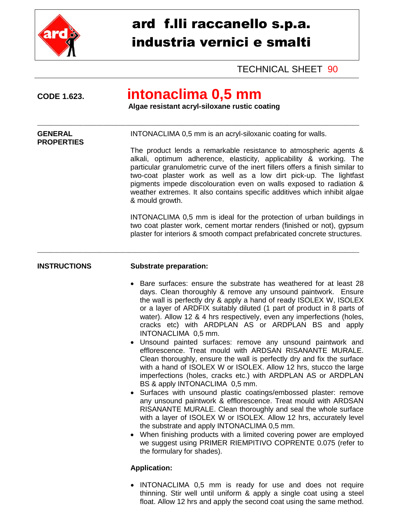

## ard f.lli raccanello s.p.a. industria vernici e smalti

TECHNICAL SHEET 90

**PROPERTIES**

## **CODE 1.623. intonaclima 0,5 mm**

\_\_\_\_\_\_\_\_\_\_\_\_\_\_\_\_\_\_\_\_\_\_\_\_\_\_\_\_\_\_\_\_\_\_\_\_\_\_\_\_\_\_\_\_\_\_\_\_\_\_\_\_\_\_\_\_\_\_\_\_\_\_\_\_\_\_\_\_\_\_\_\_\_\_\_\_\_\_\_\_\_\_\_\_\_\_\_\_\_\_\_\_\_\_\_\_\_\_

\_\_\_\_\_\_\_\_\_\_\_\_\_\_\_\_\_\_\_\_\_\_\_\_\_\_\_\_\_\_\_\_\_\_\_\_\_\_\_\_\_\_\_\_\_\_\_\_\_\_\_\_\_\_\_\_\_\_\_\_\_\_\_\_\_\_\_\_\_\_\_\_\_\_\_\_\_\_\_\_\_\_\_\_\_\_\_\_\_\_\_\_\_\_\_\_\_\_

 **Algae resistant acryl-siloxane rustic coating**

**GENERAL INTONACLIMA 0,5 mm is an acryl-siloxanic coating for walls.** 

### The product lends a remarkable resistance to atmospheric agents & alkali, optimum adherence, elasticity, applicability & working. The particular granulometric curve of the inert fillers offers a finish similar to two-coat plaster work as well as a low dirt pick-up. The lightfast pigments impede discolouration even on walls exposed to radiation & weather extremes. It also contains specific additives which inhibit algae & mould growth.

INTONACLIMA 0,5 mm is ideal for the protection of urban buildings in two coat plaster work, cement mortar renders (finished or not), gypsum plaster for interiors & smooth compact prefabricated concrete structures.

### **INSTRUCTIONS Substrate preparation:**

- Bare surfaces: ensure the substrate has weathered for at least 28 days. Clean thoroughly & remove any unsound paintwork. Ensure the wall is perfectly dry & apply a hand of ready ISOLEX W, ISOLEX or a layer of ARDFIX suitably diluted (1 part of product in 8 parts of water). Allow 12 & 4 hrs respectively, even any imperfections (holes, cracks etc) with ARDPLAN AS or ARDPLAN BS and apply INTONACLIMA 0,5 mm.
- Unsound painted surfaces: remove any unsound paintwork and efflorescence. Treat mould with ARDSAN RISANANTE MURALE. Clean thoroughly, ensure the wall is perfectly dry and fix the surface with a hand of ISOLEX W or ISOLEX. Allow 12 hrs, stucco the large imperfections (holes, cracks etc.) with ARDPLAN AS or ARDPLAN BS & apply INTONACLIMA 0,5 mm.
- Surfaces with unsound plastic coatings/embossed plaster: remove any unsound paintwork & efflorescence. Treat mould with ARDSAN RISANANTE MURALE. Clean thoroughly and seal the whole surface with a layer of ISOLEX W or ISOLEX. Allow 12 hrs, accurately level the substrate and apply INTONACLIMA 0,5 mm.
- When finishing products with a limited covering power are employed we suggest using PRIMER RIEMPITIVO COPRENTE 0.075 (refer to the formulary for shades).

### **Application:**

• INTONACLIMA 0.5 mm is ready for use and does not require thinning. Stir well until uniform & apply a single coat using a steel float. Allow 12 hrs and apply the second coat using the same method.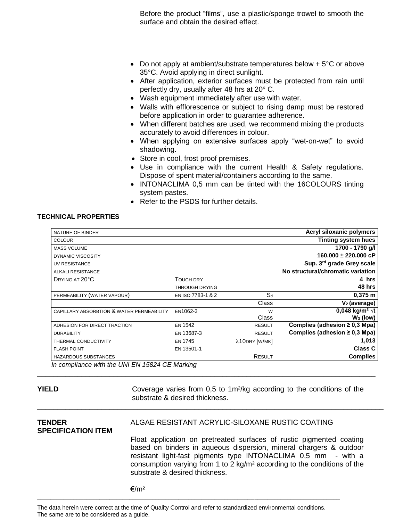Before the product "films", use a plastic/sponge trowel to smooth the surface and obtain the desired effect.

- Do not apply at ambient/substrate temperatures below  $+5^{\circ}$ C or above 35°C. Avoid applying in direct sunlight.
- After application, exterior surfaces must be protected from rain until perfectly dry, usually after 48 hrs at 20° C.
- Wash equipment immediately after use with water.
- Walls with efflorescence or subject to rising damp must be restored before application in order to guarantee adherence.
- When different batches are used, we recommend mixing the products accurately to avoid differences in colour.
- When applying on extensive surfaces apply "wet-on-wet" to avoid shadowing.
- Store in cool, frost proof premises.
- Use in compliance with the current Health & Safety regulations. Dispose of spent material/containers according to the same.
- INTONACLIMA 0.5 mm can be tinted with the 16COLOURS tinting system pastes.
- Refer to the PSDS for further details.

#### **TECHNICAL PROPERTIES**

| NATURE OF BINDER                               |                       |               | Acryl siloxanic polymers           |
|------------------------------------------------|-----------------------|---------------|------------------------------------|
| <b>COLOUR</b>                                  |                       |               | <b>Tinting system hues</b>         |
| <b>MASS VOLUME</b>                             |                       |               | 1700 - 1790 g/l                    |
| DYNAMIC VISCOSITY                              |                       |               | $160.000 \pm 220.000$ cP           |
| UV RESISTANCE                                  |                       |               | Sup. 3rd grade Grey scale          |
| <b>ALKALI RESISTANCE</b>                       |                       |               | No structural/chromatic variation  |
| DRYING AT 20°C                                 | <b>TOUCH DRY</b>      |               | 4 hrs                              |
|                                                | <b>THROUGH DRYING</b> |               | 48 hrs                             |
| PERMEABILITY (WATER VAPOUR)                    | EN ISO 7783-1 & 2     | $S_d$         | $0,375$ m                          |
|                                                |                       | Class         | $V2$ (average)                     |
| CAPILLARY ABSORBTION & WATER PERMEABILITY      | EN1062-3              | W             | 0,048 kg/m <sup>2</sup> $\sqrt{t}$ |
|                                                |                       | Class         | $W_3$ (low)                        |
| ADHESION FOR DIRECT TRACTION                   | <b>EN 1542</b>        | <b>RESULT</b> | Complies (adhesion $\geq$ 0,3 Mpa) |
| <b>DURABILITY</b>                              | EN 13687-3            | <b>RESULT</b> | Complies (adhesion $\geq$ 0,3 Mpa) |
| THERMAL CONDUCTIVITY                           | <b>EN 1745</b>        | λ10DRY [W/MK] | 1,013                              |
| <b>FLASH POINT</b>                             | EN 13501-1            |               | <b>Class C</b>                     |
| HAZARDOUS SUBSTANCES                           |                       | RESULT        | <b>Complies</b>                    |
| In compliance with the UNI EN 15824 CE Marking |                       |               |                                    |

\_\_\_\_\_\_\_\_\_\_\_\_\_\_\_\_\_\_\_\_\_\_\_\_\_\_\_\_\_\_\_\_\_\_\_\_\_\_\_\_\_\_\_\_\_\_\_\_\_\_\_\_\_\_\_\_\_\_\_\_\_\_\_\_\_\_\_\_\_\_\_\_\_\_\_\_\_\_\_\_\_\_\_\_

\_\_\_\_\_\_\_\_\_\_\_\_\_\_\_\_\_\_\_\_\_\_\_\_\_\_\_\_\_\_\_\_\_\_\_\_\_\_\_\_\_\_\_\_\_\_\_\_\_\_\_\_\_\_\_\_\_\_\_\_\_\_\_\_\_\_\_\_\_\_\_\_\_\_\_\_\_\_\_\_\_\_\_\_\_\_

**YIELD** Coverage varies from 0,5 to 1m<sup>2</sup>/kg according to the conditions of the substrate & desired thickness.

# **SPECIFICATION ITEM**

### **TENDER** ALGAE RESISTANT ACRYLIC-SILOXANE RUSTIC COATING

Float application on pretreated surfaces of rustic pigmented coating based on binders in aqueous dispersion, mineral chargers & outdoor resistant light-fast pigments type INTONACLIMA 0,5 mm - with a consumption varying from 1 to 2 kg/m² according to the conditions of the substrate & desired thickness.

 $€/m^2$ 

The data herein were correct at the time of Quality Control and refer to standardized environmental conditions. The same are to be considered as a guide.

\_\_\_\_\_\_\_\_\_\_\_\_\_\_\_\_\_\_\_\_\_\_\_\_\_\_\_\_\_\_\_\_\_\_\_\_\_\_\_\_\_\_\_\_\_\_\_\_\_\_\_\_\_\_\_\_\_\_\_\_\_\_\_\_\_\_\_\_\_\_\_\_\_\_\_\_\_\_\_\_\_\_\_\_\_\_\_\_\_\_\_\_